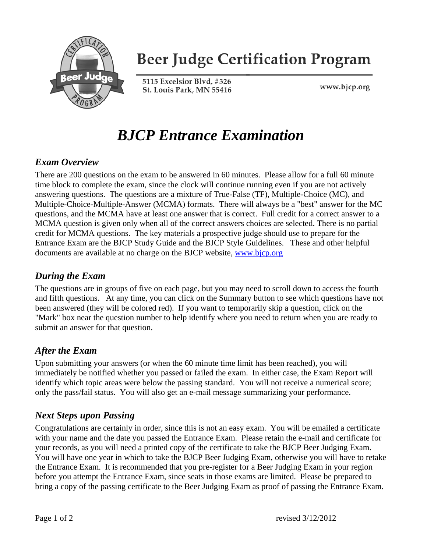

# **Beer Judge Certification Program**

5115 Excelsior Blvd. #326 St. Louis Park, MN 55416

www.bjcp.org

# *BJCP Entrance Examination*

## *Exam Overview*

There are 200 questions on the exam to be answered in 60 minutes. Please allow for a full 60 minute time block to complete the exam, since the clock will continue running even if you are not actively answering questions. The questions are a mixture of True-False (TF), Multiple-Choice (MC), and Multiple-Choice-Multiple-Answer (MCMA) formats. There will always be a "best" answer for the MC questions, and the MCMA have at least one answer that is correct. Full credit for a correct answer to a MCMA question is given only when all of the correct answers choices are selected. There is no partial credit for MCMA questions. The key materials a prospective judge should use to prepare for the Entrance Exam are the BJCP Study Guide and the BJCP Style Guidelines. These and other helpful documents are available at no charge on the BJCP website, [www.bjcp.org](http://www.bjcp.org/)

#### *During the Exam*

The questions are in groups of five on each page, but you may need to scroll down to access the fourth and fifth questions. At any time, you can click on the Summary button to see which questions have not been answered (they will be colored red). If you want to temporarily skip a question, click on the "Mark" box near the question number to help identify where you need to return when you are ready to submit an answer for that question.

#### *After the Exam*

Upon submitting your answers (or when the 60 minute time limit has been reached), you will immediately be notified whether you passed or failed the exam. In either case, the Exam Report will identify which topic areas were below the passing standard. You will not receive a numerical score; only the pass/fail status. You will also get an e-mail message summarizing your performance.

#### *Next Steps upon Passing*

Congratulations are certainly in order, since this is not an easy exam. You will be emailed a certificate with your name and the date you passed the Entrance Exam. Please retain the e-mail and certificate for your records, as you will need a printed copy of the certificate to take the BJCP Beer Judging Exam. You will have one year in which to take the BJCP Beer Judging Exam, otherwise you will have to retake the Entrance Exam. It is recommended that you pre-register for a Beer Judging Exam in your region before you attempt the Entrance Exam, since seats in those exams are limited. Please be prepared to bring a copy of the passing certificate to the Beer Judging Exam as proof of passing the Entrance Exam.